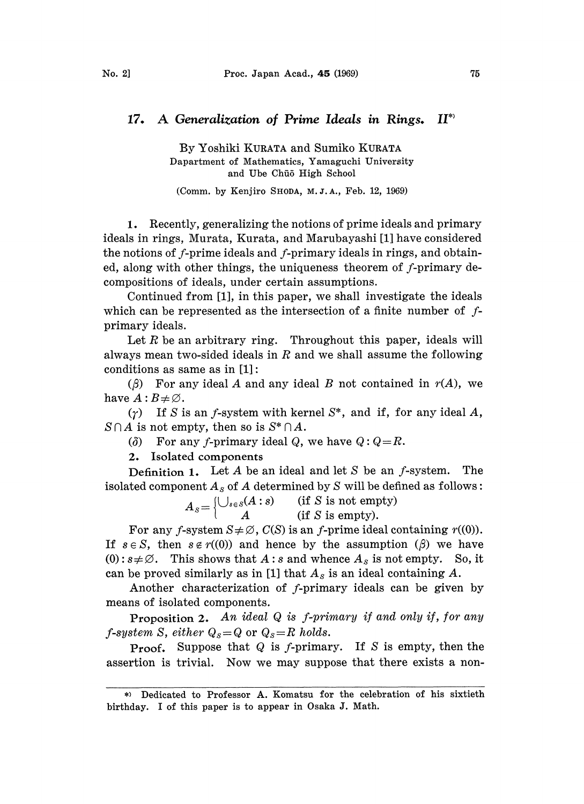## 17. A Generalization of Prime Ideals in Rings.  $II^*$

By Yoshiki KURATA and Sumiko KURATA Dapartment of Mathematics, Yamaguchi University and Ube Chūō High School

(Comm. by Kenjiro SHODA, M.J.A., Feb. 12, 1969)

1. Recently, generalizing the notions of prime ideals and primary ideals in rings, Murata, Kurata, and Marubayashi [1] have considered the notions of f-prime ideals and f-primary ideals in rings, and obtained, along with other things, the uniqueness theorem of f-primary decompositions of ideals, under certain assumptions.

Continued from [1], in this paper, we shall investigate the ideals which can be represented as the intersection of a finite number of  $f$ primary ideals.

Let R be an arbitrary ring. Throughout this paper, ideals will always mean two-sided ideals in  $R$  and we shall assume the following conditions as same as in  $[1]$ :

( $\beta$ ) For any ideal A and any ideal B not contained in  $r(A)$ , we have  $A:B\neq\emptyset$ .

 $(\gamma)$  If S is an f-system with kernel S<sup>\*</sup>, and if, for any ideal A,  $S \cap A$  is not empty, then so is  $S^* \cap A$ .

( $\delta$ ) For any f-primary ideal Q, we have  $Q:Q=R$ .

2. Isolated components

**Definition 1.** Let A be an ideal and let S be an  $f$ -system. The isolated component  $A_s$  of A determined by S will be defined as follows:

$$
A_s = \begin{cases} \bigcup_{s \in s} (A:s) & \text{ (if } S \text{ is not empty)}\\ A & \text{ (if } S \text{ is empty).} \end{cases}
$$

For any f-system  $S \neq \emptyset$ ,  $C(S)$  is an f-prime ideal containing  $r((0))$ . If  $s \in S$ , then  $s \notin r((0))$  and hence by the assumption  $(\beta)$  we have  $(0): s \neq \emptyset$ . This shows that A : s and whence  $A_s$  is not empty. So, it can be proved similarly as in [1] that  $A_s$  is an ideal containing A.

Another characterization of f-primary ideals can be given by means of isolated components.

**Proposition 2.** An ideal  $Q$  is f-primary if and only if, for any *f*-system S, either  $Q_s = Q$  or  $Q_s = R$  holds.

**Proof.** Suppose that  $Q$  is  $f$ -primary. If  $S$  is empty, then the assertion is trivial. Now we may suppose that there exists a non-

Dedicated to Professor A. Komatsu for the celebration of his sixtieth birthday. <sup>I</sup> of this paper is to appear in Osaka J. Math.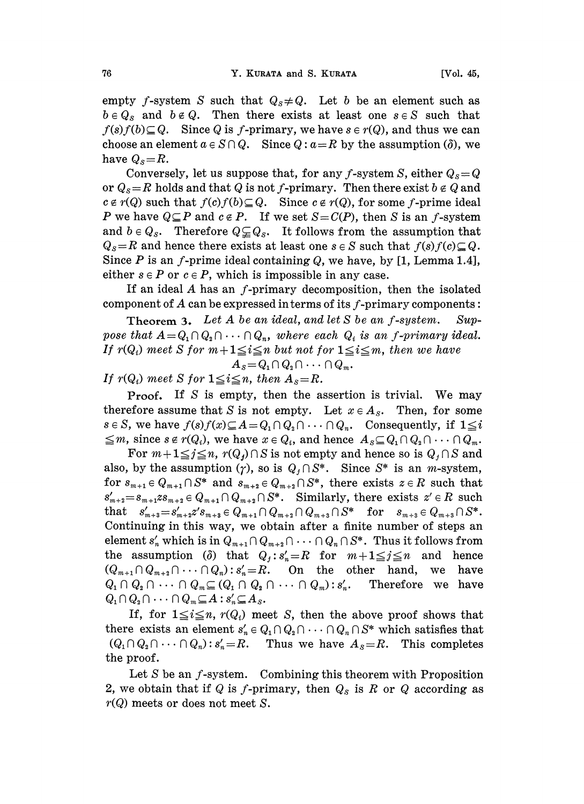empty f-system S such that  $Q_s \neq Q$ . Let b be an element such as  $b \in Q_s$  and  $b \notin Q$ . Then there exists at least one  $s \in S$  such that  $f(s)f(b) \subseteq Q$ . Since Q is f-primary, we have  $s \in r(Q)$ , and thus we can choose an element  $a \in S \cap Q$ . Since  $Q : a = R$  by the assumption ( $\delta$ ), we have  $Q_s = R$ .

Conversely, let us suppose that, for any f-system S, either  $Q_s = Q$ or  $Q_s=R$  holds and that Q is not f-primary. Then there exist  $b \notin Q$  and  $c \notin r(Q)$  such that  $f(c)f(b) \subseteq Q$ . Since  $c \notin r(Q)$ , for some f-prime ideal P we have  $Q \subseteq P$  and  $c \notin P$ . If we set  $S = C(P)$ , then S is an f-system and  $b \in Q_s$ . Therefore  $Q \subseteq Q_s$ . It follows from the assumption that  $Q_s$ =R and hence there exists at least one  $s \in S$  such that  $f(s)f(c) \subseteq Q$ . Since P is an f-prime ideal containing Q, we have, by  $[1, \text{Lemma } 1.4],$ either  $s \in P$  or  $c \in P$ , which is impossible in any case.

If an ideal  $A$  has an  $f$ -primary decomposition, then the isolated component of  $A$  can be expressed in terms of its  $f$ -primary components:

**Theorem 3.** Let A be an ideal, and let S be an f-system. Suppose that  $A = Q_1 \cap Q_2 \cap \cdots \cap Q_n$ , where each  $Q_i$  is an f-primary ideal. If  $r(Q_i)$  meet S for  $m+1 \leq i \leq n$  but not for  $1 \leq i \leq m$ , then we have  $A_s = Q_1 \cap Q_2 \cap \cdots \cap Q_m$ .

$$
A_S = \mathcal{Q}_1 \cup \mathcal{Q}_2 \cup \cdots \cup \mathcal{Q}_s
$$

If  $r(Q_i)$  meet S for  $1 \leq i \leq n$ , then  $A_s = R$ .

Proof. If S is empty, then the assertion is trivial. We may therefore assume that S is not empty. Let  $x \in A_s$ . Then, for some  $s \in S$ , we have  $f(s)f(x) \subseteq A = Q_1 \cap Q_2 \cap \cdots \cap Q_n$ . Consequently, if  $1 \leq i$  $\leq m$ , since  $s \notin r(Q_i)$ , we have  $x \in Q_i$ , and hence  $A_s \subseteq Q_1 \cap Q_2 \cap \cdots \cap Q_m$ .

For  $m+1 \leq j \leq n$ ,  $r(Q_j) \cap S$  is not empty and hence so is  $Q_j \cap S$  and also, by the assumption  $(\gamma)$ , so is  $Q_j \cap S^*$ . Since  $S^*$  is an *m*-system, for  $s_{m+1} \in Q_{m+1} \cap S^*$  and  $s_{m+2} \in Q_{m+2} \cap S^*$ , there exists  $z \in R$  such that  $s'_{m+2}=s_{m+1}zs_{m+2}\in Q_{m+1}\cap Q_{m+2}\cap S^*$ . Similarly, there exists  $z'\in R$  such that  $s'_{m+3}=s'_{m+2}z's_{m+3}\in Q_{m+1}\cap Q_{m+2}\cap Q_{m+3}\cap S^*$  for  $s_{m+3}\in Q_{m+3}\cap S^*$ . Continuing in this way, we obtain after a finite number of steps an element  $s'_n$  which is in  $Q_{m+1} \cap Q_{m+2} \cap \cdots \cap Q_n \cap S^*$ . Thus it follows from the assumption ( $\delta$ ) that  $Q_j : s'_n = R$  for  $m+1 \leq j \leq n$  and hence  $(Q_{m+1}\cap Q_{m+2}\cap \cdots \cap Q_n): s'_n=R$ . On the other hand, we have  $Q_1 \cap Q_2 \cap \cdots \cap Q_m \subseteq (Q_1 \cap Q_2 \cap \cdots \cap Q_m): s'_n$ . Therefore we have  $Q_1 \cap Q_2 \cap \cdots \cap Q_m \subseteq A : s'_n \subseteq A_s.$ 

If, for  $1 \leq i \leq n$ ,  $r(Q_i)$  meet S, then the above proof shows that there exists an element  $s'_n \in Q_1 \cap Q_2 \cap \cdots \cap Q_n \cap S^*$  which satisfies that  $(Q_1 \cap Q_2 \cap \cdots \cap Q_n)$ :  $s'_n = R$ . Thus we have  $A_s = R$ . This completes the proof.

Let  $S$  be an  $f$ -system. Combining this theorem with Proposition 2, we obtain that if Q is f-primary, then  $Q_s$  is R or Q according as  $r(Q)$  meets or does not meet S.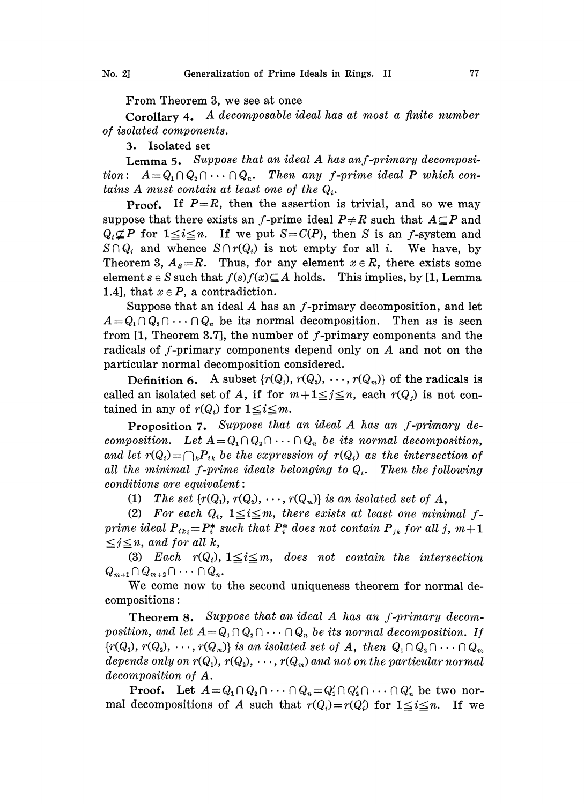From Theorem 3, we see at once

Corollary 4. A decomposable ideal has at most <sup>a</sup> finite number of isolated components.

3. Isolated set

Lemma 5. Suppose that an ideal  $A$  has an f-primary decomposition:  $A = Q_1 \cap Q_2 \cap \cdots \cap Q_n$ . Then any f-prime ideal P which contains A must contain at least one of the  $Q_i$ .

**Proof.** If  $P=R$ , then the assertion is trivial, and so we may suppose that there exists an f-prime ideal  $P \neq R$  such that  $A \subseteq P$  and  $Q_i \nsubseteq P$  for  $1 \leq i \leq n$ . If we put  $S = C(P)$ , then S is an f-system and  $S \cap Q_i$  and whence  $S \cap r(Q_i)$  is not empty for all i. We have, by Theorem 3,  $A_s = R$ . Thus, for any element  $x \in R$ , there exists some element  $s \in S$  such that  $f(s)f(x) \subseteq A$  holds. This implies, by [1, Lemma 1.4], that  $x \in P$ , a contradiction.

Suppose that an ideal  $A$  has an  $f$ -primary decomposition, and let  $A=Q_1\cap Q_2\cap \cdots \cap Q_n$  be its normal decomposition. Then as is seen from  $[1,$  Theorem 3.7], the number of f-primary components and the radicals of f-primary components depend only on A and not on the particular normal decomposition considered.

Definition 6. A subset  $\{r(Q_1), r(Q_2), \dots, r(Q_m)\}$  of the radicals is called an isolated set of A, if for  $m+1 \leq j \leq n$ , each  $r(Q_i)$  is not contained in any of  $r(Q_i)$  for  $1 \leq i \leq m$ .

Proposition 7. Suppose that an ideal A has an f-primary decomposition. Let  $A = Q_1 \cap Q_2 \cap \cdots \cap Q_n$  be its normal decomposition, and let  $r(Q_i) = \bigcap_k P_{ik}$  be the expression of  $r(Q_i)$  as the intersection of all the minimal f-prime ideals belonging to  $Q_i$ . Then the following  $conditions$  are equivalent:

(1) The set  $\{r(Q_1), r(Q_2), \cdots, r(Q_m)\}\)$  is an isolated set of A,

(2) For each  $Q_i$ ,  $1 \leq i \leq m$ , there exists at least one minimal fprime ideal  $P_{ik} = P_i^*$  such that  $P_i^*$  does not contain  $P_{ik}$  for all j,  $m+1$  $\leq j \leq n$ , and for all k,

(3) Each  $r(Q_i)$ ,  $1 \leq i \leq m$ , does not contain the intersection  $Q_{m+1} \cap Q_{m+2} \cap \cdots \cap Q_n$ .

We come now to the second uniqueness theorem for normal decompositions:

Theorem 8. Suppose that an ideal A has an f-primary decomposition, and let  $A = Q_1 \cap Q_2 \cap \cdots \cap Q_n$  be its normal decomposition. If  ${r(Q_1), r(Q_2), \dots, r(Q_m)}$  is an isolated set of A, then  $Q_1 \cap Q_2 \cap \dots \cap Q_m$ depends only on  $r(Q_1), r(Q_2), \cdots, r(Q_m)$  and not on the particular normal decomposition of A.

**Proof.** Let  $A = Q_1 \cap Q_2 \cap \cdots \cap Q_n = Q'_1 \cap Q'_2 \cap \cdots \cap Q'_n$  be two normal decompositions of A such that  $r(Q_i)=r(Q_i)$  for  $1\leq i\leq n$ . If we